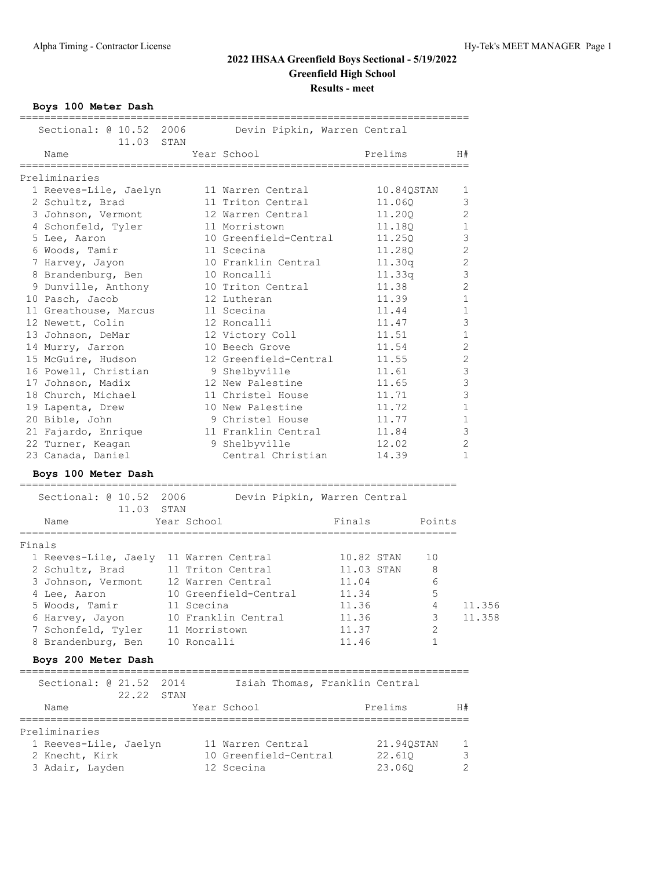**Boys 100 Meter Dash**

| Sectional: @ 10.52 2006<br>11.03 STAN  |             | Devin Pipkin, Warren Central   |            |            |        |                |
|----------------------------------------|-------------|--------------------------------|------------|------------|--------|----------------|
| Name                                   |             | Year School                    |            | Prelims    |        | H#             |
| Preliminaries                          |             |                                |            |            |        |                |
| 1 Reeves-Lile, Jaelyn                  |             | 11 Warren Central              |            | 10.840STAN |        | 1              |
| 2 Schultz, Brad                        |             | 11 Triton Central              |            | 11.06Q     |        | 3              |
| 3 Johnson, Vermont                     |             | 12 Warren Central              |            | 11.20Q     |        | 2              |
| 4 Schonfeld, Tyler                     |             | 11 Morristown                  |            | 11.180     |        | $\mathbf 1$    |
| 5 Lee, Aaron                           |             | 10 Greenfield-Central          |            | 11.250     |        | $\mathcal{S}$  |
| 6 Woods, Tamir                         |             | 11 Scecina                     |            | 11.28Q     |        | $\mathbf{2}$   |
| 7 Harvey, Jayon                        |             | 10 Franklin Central            |            | 11.30q     |        | 2              |
| 8 Brandenburg, Ben                     |             | 10 Roncalli                    |            | 11.33q     |        | 3              |
| 9 Dunville, Anthony                    |             | 10 Triton Central              |            | 11.38      |        | 2              |
| 10 Pasch, Jacob                        |             | 12 Lutheran                    |            | 11.39      |        | $\mathbf{1}$   |
| 11 Greathouse, Marcus                  |             | 11 Scecina                     |            | 11.44      |        | 1              |
| 12 Newett, Colin                       |             | 12 Roncalli                    |            | 11.47      |        | 3              |
| 13 Johnson, DeMar                      |             | 12 Victory Coll                |            | 11.51      |        | 1              |
| 14 Murry, Jarron                       |             | 10 Beech Grove                 |            | 11.54      |        | 2              |
| 15 McGuire, Hudson                     |             | 12 Greenfield-Central          |            | 11.55      |        | $\mathbf{2}$   |
| 16 Powell, Christian                   |             | 9 Shelbyville                  |            | 11.61      |        | 3              |
| 17 Johnson, Madix                      |             | 12 New Palestine               |            | 11.65      |        | $\mathfrak{Z}$ |
|                                        |             | 11 Christel House              |            | 11.71      |        | 3              |
| 18 Church, Michael                     |             |                                |            |            |        | 1              |
| 19 Lapenta, Drew                       |             | 10 New Palestine               |            | 11.72      |        |                |
| 20 Bible, John                         |             | 9 Christel House               |            | 11.77      |        | 1              |
| 21 Fajardo, Enrique                    |             | 11 Franklin Central            |            | 11.84      |        | 3              |
| 22 Turner, Keagan                      |             | 9 Shelbyville                  |            | 12.02      |        | $\overline{c}$ |
| 23 Canada, Daniel                      |             | Central Christian              |            | 14.39      |        | $\mathbf{1}$   |
| Boys 100 Meter Dash                    |             |                                |            |            |        |                |
| Sectional: 0 10.52                     | 2006        | Devin Pipkin, Warren Central   |            |            |        |                |
| 11.03<br>STAN                          |             |                                |            |            |        |                |
| Name                                   | Year School |                                | Finals     |            | Points |                |
| Finals                                 |             |                                |            |            |        |                |
| 1 Reeves-Lile, Jaely 11 Warren Central |             |                                | 10.82 STAN |            | 10     |                |
| 2 Schultz, Brad                        |             | 11 Triton Central              | 11.03 STAN |            | 8      |                |
| 3 Johnson, Vermont                     |             | 12 Warren Central              | 11.04      |            | 6      |                |
| 4 Lee, Aaron                           |             | 10 Greenfield-Central          | 11.34      |            | 5      |                |
|                                        |             |                                |            |            |        |                |
| 5 Woods, Tamir                         | 11 Scecina  |                                | 11.36      |            | 4      | 11.356         |
| 6 Harvey, Jayon                        |             | 10 Franklin Central            | 11.36      |            | 3      | 11.358         |
| 7 Schonfeld, Tyler 11 Morristown       |             |                                | 11.37      |            | 2      |                |
| 8 Brandenburg, Ben 10 Roncalli         |             |                                | 11.46      |            | 1      |                |
| Boys 200 Meter Dash                    |             |                                |            |            |        |                |
| Sectional: 0 21.52 2014                |             | Isiah Thomas, Franklin Central |            |            |        |                |
| 22.22 STAN<br>Name                     |             | Year School                    |            | Prelims    |        | H#             |
| Preliminaries                          |             |                                |            |            |        |                |
|                                        |             |                                |            |            |        |                |
| 1 Reeves-Lile, Jaelyn                  |             | 11 Warren Central              |            | 21.94QSTAN |        | 1              |
| 2 Knecht, Kirk                         |             | 10 Greenfield-Central          |            | 22.61Q     |        | 3              |
| 3 Adair, Layden                        |             | 12 Scecina                     |            | 23.06Q     |        | 2              |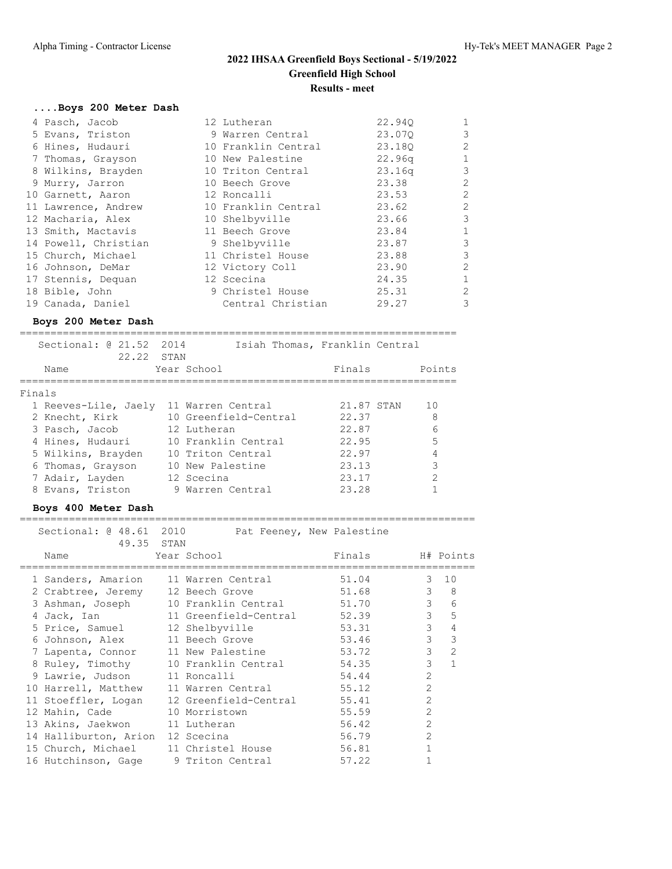### **....Boys 200 Meter Dash**

|                                                                                                                                                                                                                                                                                                                                             |                   | 22.940                                                                                                                                                                                                                                                                                 | $\mathbf{1}$ |
|---------------------------------------------------------------------------------------------------------------------------------------------------------------------------------------------------------------------------------------------------------------------------------------------------------------------------------------------|-------------------|----------------------------------------------------------------------------------------------------------------------------------------------------------------------------------------------------------------------------------------------------------------------------------------|--------------|
|                                                                                                                                                                                                                                                                                                                                             |                   | 23.070                                                                                                                                                                                                                                                                                 | 3            |
|                                                                                                                                                                                                                                                                                                                                             |                   | 23.180                                                                                                                                                                                                                                                                                 | 2            |
|                                                                                                                                                                                                                                                                                                                                             |                   | 22.96 <sub>q</sub>                                                                                                                                                                                                                                                                     | $\mathbf{1}$ |
|                                                                                                                                                                                                                                                                                                                                             |                   | 23.16q                                                                                                                                                                                                                                                                                 | 3            |
|                                                                                                                                                                                                                                                                                                                                             |                   | 23.38                                                                                                                                                                                                                                                                                  | 2            |
|                                                                                                                                                                                                                                                                                                                                             |                   | 23.53                                                                                                                                                                                                                                                                                  | 2            |
|                                                                                                                                                                                                                                                                                                                                             |                   | 23.62                                                                                                                                                                                                                                                                                  | 2            |
|                                                                                                                                                                                                                                                                                                                                             |                   | 23.66                                                                                                                                                                                                                                                                                  | 3            |
|                                                                                                                                                                                                                                                                                                                                             |                   | 23.84                                                                                                                                                                                                                                                                                  | $\mathbf{1}$ |
|                                                                                                                                                                                                                                                                                                                                             |                   | 23.87                                                                                                                                                                                                                                                                                  | 3            |
|                                                                                                                                                                                                                                                                                                                                             |                   | 23.88                                                                                                                                                                                                                                                                                  | 3            |
|                                                                                                                                                                                                                                                                                                                                             |                   | 23.90                                                                                                                                                                                                                                                                                  | 2            |
|                                                                                                                                                                                                                                                                                                                                             |                   | 24.35                                                                                                                                                                                                                                                                                  | $\mathbf{1}$ |
|                                                                                                                                                                                                                                                                                                                                             |                   | 25.31                                                                                                                                                                                                                                                                                  | 2            |
|                                                                                                                                                                                                                                                                                                                                             | Central Christian | 29.27                                                                                                                                                                                                                                                                                  | 3            |
| 4 Pasch, Jacob<br>5 Evans, Triston<br>6 Hines, Hudauri<br>7 Thomas, Grayson<br>8 Wilkins, Brayden<br>9 Murry, Jarron<br>10 Garnett, Aaron<br>11 Lawrence, Andrew<br>12 Macharia, Alex<br>13 Smith, Mactavis<br>14 Powell, Christian<br>15 Church, Michael<br>16 Johnson, DeMar<br>17 Stennis, Dequan<br>18 Bible, John<br>19 Canada, Daniel |                   | 12 Lutheran<br>9 Warren Central<br>10 Franklin Central<br>10 New Palestine<br>10 Triton Central<br>10 Beech Grove<br>12 Roncalli<br>10 Franklin Central<br>10 Shelbyville<br>11 Beech Grove<br>9 Shelbyville<br>11 Christel House<br>12 Victory Coll<br>12 Scecina<br>9 Christel House |              |

### **Boys 200 Meter Dash**

|        | Sectional: @ 21.52 2014<br>22.22 STAN | Isiah Thomas, Franklin Central |            |               |
|--------|---------------------------------------|--------------------------------|------------|---------------|
|        | Name                                  | Year School                    | Finals     | Points        |
| Finals |                                       |                                |            |               |
|        | 1 Reeves-Lile, Jaely                  | 11 Warren Central              | 21.87 STAN | 10            |
|        | 2 Knecht, Kirk                        | 10 Greenfield-Central          | 22.37      | 8             |
|        | 3 Pasch, Jacob                        | 12 Lutheran                    | 22.87      | 6             |
|        | 4 Hines, Hudauri                      | 10 Franklin Central            | 22.95      | 5             |
|        | 5 Wilkins, Brayden                    | 10 Triton Central              | 22.97      | 4             |
|        | 6 Thomas, Grayson                     | 10 New Palestine               | 23.13      | 3             |
|        | 7 Adair, Layden                       | 12 Scecina                     | 23.17      | $\mathcal{P}$ |
| 8      | Evans, Triston                        | 9 Warren Central               | 23.28      |               |

### **Boys 400 Meter Dash**

| Sectional: @ 48.61 2010<br>49.35 STAN | Pat Feeney, New Palestine |        |                |                |
|---------------------------------------|---------------------------|--------|----------------|----------------|
| Name                                  | Year School               | Finals |                | H# Points      |
| 1 Sanders, Amarion                    | 11 Warren Central         | 51.04  | $\mathcal{B}$  | 10             |
| 2 Crabtree, Jeremy                    | 12 Beech Grove            | 51.68  | $\mathcal{E}$  | 8              |
| 3 Ashman, Joseph                      | 10 Franklin Central       | 51.70  | 3              | 6              |
| 4 Jack, Ian                           | 11 Greenfield-Central     | 52.39  | 3              | 5              |
| 5 Price, Samuel                       | 12 Shelbyville            | 53.31  | 3              | 4              |
| 6 Johnson, Alex                       | 11 Beech Grove            | 53.46  | 3              | 3              |
| 7 Lapenta, Connor                     | 11 New Palestine          | 53.72  | 3              | $\overline{2}$ |
| 8 Ruley, Timothy                      | 10 Franklin Central       | 54.35  | 3              | $\mathbf{1}$   |
| 9 Lawrie, Judson                      | 11 Roncalli               | 54.44  | $\mathfrak{D}$ |                |
| 10 Harrell, Matthew                   | 11 Warren Central         | 55.12  | $\overline{2}$ |                |
| 11 Stoeffler, Logan                   | 12 Greenfield-Central     | 55.41  | $\mathcal{L}$  |                |
| 12 Mahin, Cade                        | 10 Morristown             | 55.59  | $\overline{2}$ |                |
| 13 Akins, Jaekwon                     | 11 Lutheran               | 56.42  | $\overline{2}$ |                |
| 14 Halliburton, Arion                 | 12 Scecina                | 56.79  | $\mathfrak{D}$ |                |
| 15 Church, Michael                    | 11 Christel House         | 56.81  | 1              |                |
| 16 Hutchinson, Gage 9 Triton Central  |                           | 57.22  |                |                |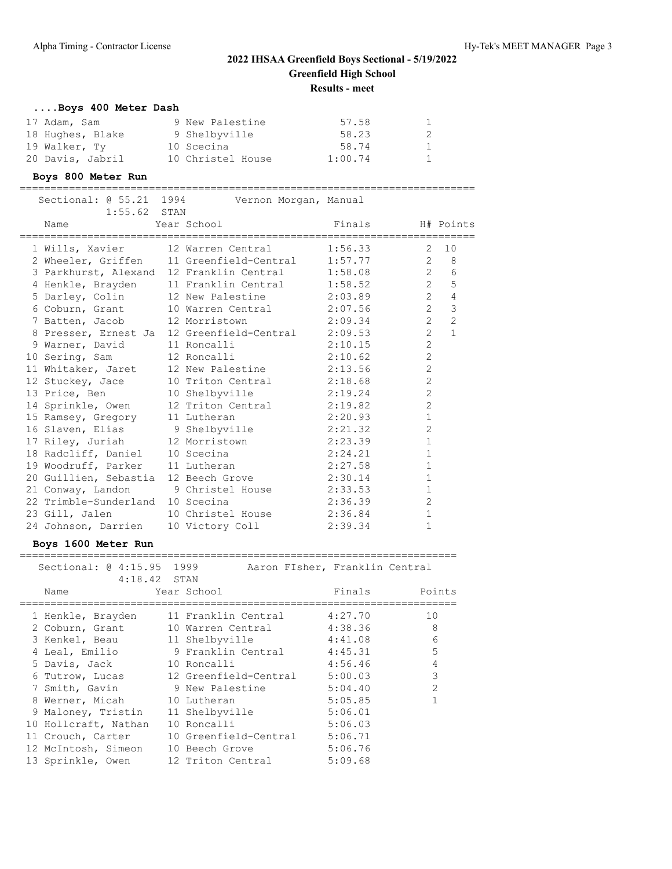#### **....Boys 400 Meter Dash**

| 17 Adam, Sam     | 9 New Palestine   | 57.58   | $\perp$      |
|------------------|-------------------|---------|--------------|
| 18 Hughes, Blake | 9 Shelbyville     | 58.23   | -2           |
| 19 Walker, Ty    | 10 Scecina        | 58.74   | $\mathbf{1}$ |
| 20 Davis, Jabril | 10 Christel House | 1:00.74 |              |

#### **Boys 800 Meter Run**

| $1:55.62$ STAN                   | Sectional: @ 55.21 1994 Vernon Morgan, Manual                                          |         |                |                               |
|----------------------------------|----------------------------------------------------------------------------------------|---------|----------------|-------------------------------|
| Name                             |                                                                                        |         |                |                               |
|                                  | 1 Wills, Xavier 12 Warren Central 1:56.33                                              |         |                | 2, 10                         |
|                                  | 2 Wheeler, Griffen 11 Greenfield-Central 1:57.77                                       |         |                | $2 \quad 8$                   |
|                                  | 3 Parkhurst, Alexand 12 Franklin Central 1:58.08                                       |         |                | 2 6                           |
|                                  | 4 Henkle, Brayden 11 Franklin Central 1:58.52                                          |         |                | 2 5                           |
|                                  | 5 Darley, Colin 12 New Palestine 2:03.89                                               |         |                | $2^{\circ}$<br>$\overline{4}$ |
|                                  | 6 Coburn, Grant 10 Warren Central 2:07.56                                              |         | $2^{\circ}$    | $\overline{3}$                |
|                                  | 7 Batten, Jacob 12 Morristown 2:09.34                                                  |         | $\overline{2}$ | $\overline{c}$                |
|                                  | 8 Presser, Ernest Ja 12 Greenfield-Central 2:09.53                                     |         | 2              | $\overline{1}$                |
|                                  |                                                                                        |         | 2              |                               |
|                                  | 9 Warner, David 11 Roncalli (2:10.15<br>10 Sering, Sam (2:10.62) 12 Roncalli (2:10.62) |         | 2              |                               |
|                                  | 11 Whitaker, Jaret 12 New Palestine 2:13.56                                            |         | $\overline{2}$ |                               |
|                                  | 12 Stuckey, Jace 10 Triton Central 2:18.68                                             |         | $\overline{c}$ |                               |
|                                  | 13 Price, Ben 10 Shelbyville 2:19.24                                                   |         | $\overline{2}$ |                               |
|                                  | 14 Sprinkle, Owen 12 Triton Central 2:19.82                                            |         | 2              |                               |
| 15 Ramsey, Gregory 11 Lutheran   | 2:20.93                                                                                |         | $\mathbf{1}$   |                               |
|                                  | 16 Slaven, Elias 9 Shelbyville 2:21.32                                                 |         | $\overline{2}$ |                               |
|                                  | 17 Riley, Juriah 12 Morristown 2:23.39                                                 |         | $\mathbf{1}$   |                               |
| 18 Radcliff, Daniel 10 Scecina   |                                                                                        | 2:24.21 | $\mathbf{1}$   |                               |
| 19 Woodruff, Parker 11 Lutheran  |                                                                                        | 2:27.58 | $\mathbf{1}$   |                               |
|                                  | 20 Guillien, Sebastia 12 Beech Grove 2:30.14                                           |         | $\mathbf{1}$   |                               |
|                                  | 21 Conway, Landon 9 Christel House 2:33.53                                             |         | $\mathbf{1}$   |                               |
| 22 Trimble-Sunderland 10 Scecina | 2:36.39                                                                                |         | 2              |                               |
|                                  | 23 Gill, Jalen 10 Christel House 2:36.84                                               |         | $\mathbf{1}$   |                               |
| 24 Johnson, Darrien              | 10 Victory Coll<br>2:39.34                                                             |         | $\mathbf{1}$   |                               |

#### **Boys 1600 Meter Run**

#### ======================================================================= Sectional: @ 4:15.95 1999 Aaron FIsher, Franklin Central 4:18.42 STAN Name Year School **Finals** Points ======================================================================= 1 Henkle, Brayden 11 Franklin Central 4:27.70 10 2 Coburn, Grant 10 Warren Central 4:38.36 8 3 Kenkel, Beau 11 Shelbyville 4:41.08 6 4 Leal, Emilio 9 Franklin Central 4:45.31 5 5 Davis, Jack 10 Roncalli 4:56.46 4 6 Tutrow, Lucas 12 Greenfield-Central 5:00.03 3 7 Smith, Gavin 9 New Palestine 5:04.40 2 8 Werner, Micah 10 Lutheran 19 (1998) 5:05.85 1 9 Maloney, Tristin 11 Shelbyville 5:06.01 10 Hollcraft, Nathan 10 Roncalli 5:06.03 11 Crouch, Carter 10 Greenfield-Central 5:06.71 12 McIntosh, Simeon 10 Beech Grove 5:06.76 13 Sprinkle, Owen 12 Triton Central 5:09.68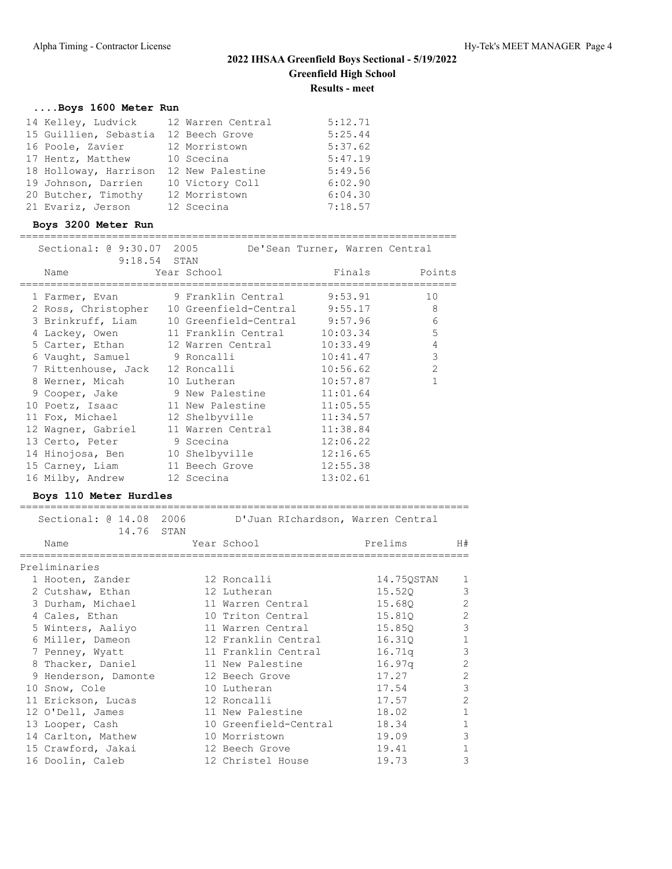### **....Boys 1600 Meter Run**

| 14 Kelley, Ludvick    | 12 Warren Central | 5:12.71 |
|-----------------------|-------------------|---------|
| 15 Guillien, Sebastia | 12 Beech Grove    | 5:25.44 |
| 16 Poole, Zavier      | 12 Morristown     | 5:37.62 |
| 17 Hentz, Matthew     | 10 Scecina        | 5:47.19 |
| 18 Holloway, Harrison | 12 New Palestine  | 5:49.56 |
| 19 Johnson, Darrien   | 10 Victory Coll   | 6:02.90 |
| 20 Butcher, Timothy   | 12 Morristown     | 6:04.30 |
| 21 Evariz, Jerson     | 12 Scecina        | 7:18.57 |

#### **Boys 3200 Meter Run**

| Sectional: @ 9:30.07 2005                           |             | De'Sean Turner, Warren Central |                |
|-----------------------------------------------------|-------------|--------------------------------|----------------|
| $9:18.54$ STAN<br>Name                              | Year School | Finals                         | Points         |
|                                                     |             |                                | 10             |
| 2 Ross, Christopher 10 Greenfield-Central 9:55.17 8 |             |                                |                |
| 3 Brinkruff, Liam 10 Greenfield-Central 9:57.96     |             |                                | 6              |
| 4 Lackey, Owen 11 Franklin Central 10:03.34         |             |                                | 5              |
| 5 Carter, Ethan 12 Warren Central                   |             | 10:33.49                       | $\overline{4}$ |
| 6 Vaught, Samuel 9 Roncalli                         |             | 10:41.47                       | 3              |
| 7 Rittenhouse, Jack 12 Roncalli                     |             | 10:56.62                       | $\overline{2}$ |
|                                                     |             | 10:57.87                       |                |
| 9 Cooper, Jake 9 New Palestine 11:01.64             |             |                                |                |
| 10 Poetz, Isaac 11 New Palestine 11:05.55           |             |                                |                |
| 11 Fox, Michael 12 Shelbyville 11:34.57             |             |                                |                |
| 12 Wagner, Gabriel 11 Warren Central 11:38.84       |             |                                |                |
| 13 Certo, Peter 9 Scecina                           |             | 12:06.22                       |                |
| 14 Hinojosa, Ben 10 Shelbyville 12:16.65            |             |                                |                |
| 15 Carney, Liam 11 Beech Grove                      |             | 12:55.38                       |                |
| 16 Milby, Andrew 12 Scecina                         |             | 13:02.61                       |                |

=======================================================================

### **Boys 110 Meter Hurdles**

| Sectional: 0 14.08 2006<br>14.76 STAN |  | D'Juan RIchardson, Warren Central |            |                |
|---------------------------------------|--|-----------------------------------|------------|----------------|
| Name                                  |  | Year School                       | Prelims    | H#             |
| Preliminaries                         |  |                                   |            |                |
| 1 Hooten, Zander                      |  | 12 Roncalli                       | 14.75QSTAN | 1              |
| 2 Cutshaw, Ethan                      |  | 12 Lutheran                       | 15.520     | 3              |
| 3 Durham, Michael                     |  | 11 Warren Central                 | 15.680     | $\overline{2}$ |
| 4 Cales, Ethan                        |  | 10 Triton Central                 | 15.810     | $\overline{2}$ |
| 5 Winters, Aaliyo                     |  | 11 Warren Central                 | 15.85Q     | 3              |
| 6 Miller, Dameon                      |  | 12 Franklin Central               | 16.31Q     |                |
| 7 Penney, Wyatt                       |  | 11 Franklin Central               | 16.71q     | 3              |
| 8 Thacker, Daniel                     |  | 11 New Palestine                  | 16.97q     | $\overline{2}$ |
| 9 Henderson, Damonte                  |  | 12 Beech Grove                    | 17.27      | $\overline{2}$ |
| 10 Snow, Cole                         |  | 10 Lutheran                       | 17.54      | 3              |
| 11 Erickson, Lucas                    |  | 12 Roncalli                       | 17.57      | 2              |
| 12 O'Dell, James                      |  | 11 New Palestine                  | 18.02      | $\mathbf 1$    |
| 13 Looper, Cash                       |  | 10 Greenfield-Central             | 18.34      |                |
| 14 Carlton, Mathew                    |  | 10 Morristown                     | 19.09      | 3              |
| 15 Crawford, Jakai                    |  | 12 Beech Grove                    | 19.41      |                |
| 16 Doolin, Caleb                      |  | 12 Christel House                 | 19.73      | 3              |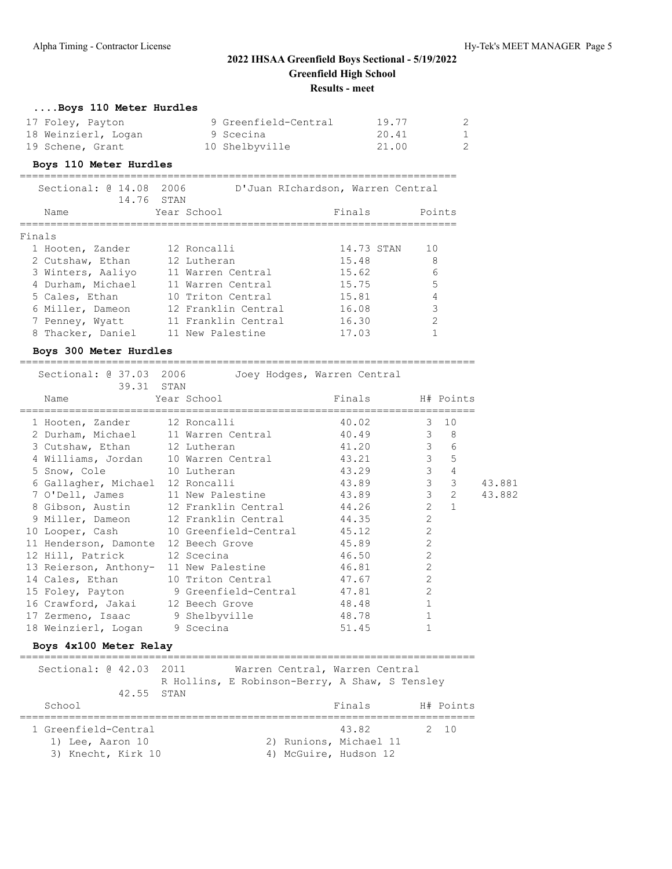| Boys 110 Meter Hurdles |                      |       |               |
|------------------------|----------------------|-------|---------------|
| 17 Foley, Payton       | 9 Greenfield-Central | 19.77 |               |
| 18 Weinzierl, Logan    | 9 Scecina            | 20.41 | $\mathbf{1}$  |
| 19 Schene, Grant       | 10 Shelbyville       | 21.00 | $\mathcal{P}$ |

# **Boys 110 Meter Hurdles**

| Boys 110 Meter Hurdles |                     |                                   |               |
|------------------------|---------------------|-----------------------------------|---------------|
| Sectional: 0 14.08     | 2006<br>14.76 STAN  | D'Juan RIchardson, Warren Central |               |
| Name                   | Year School         | Finals                            | Points        |
| Finals                 |                     |                                   |               |
| 1 Hooten, Zander       | 12 Roncalli         | 14.73 STAN                        | 10            |
| 2 Cutshaw, Ethan       | 12 Lutheran         | 15.48                             | 8             |
| 3 Winters, Aaliyo      | 11 Warren Central   | 15.62                             | 6             |
| 4 Durham, Michael      | 11 Warren Central   | 15.75                             | 5             |
| 5 Cales, Ethan         | 10 Triton Central   | 15.81                             | 4             |
| 6 Miller, Dameon       | 12 Franklin Central | 16.08                             | 3             |
| 7 Penney, Wyatt        | 11 Franklin Central | 16.30                             | $\mathcal{P}$ |
| 8 Thacker, Daniel      | 11 New Palestine    | 17.03                             |               |

#### **Boys 300 Meter Hurdles**

========================================================================== Sectional: @ 37.03 2006 Joey Hodges, Warren Central

| 39.31 STAN                                                                                                      |                                               |                  |                |                |        |
|-----------------------------------------------------------------------------------------------------------------|-----------------------------------------------|------------------|----------------|----------------|--------|
| Name and the state of the state of the state of the state of the state of the state of the state of the state o | Year School                                   | Finals H# Points |                |                |        |
| 1 Hooten, Zander 12 Roncalli                                                                                    |                                               | 40.02            |                | 3 10           |        |
|                                                                                                                 | 2 Durham, Michael 11 Warren Central 40.49 3 8 |                  |                |                |        |
|                                                                                                                 | 3 Cutshaw, Ethan 12 Lutheran 12 + 41.20 3 6   |                  |                |                |        |
|                                                                                                                 | 4 Williams, Jordan 10 Warren Central 43.21    |                  |                | 3 <sub>5</sub> |        |
| 5 Snow, Cole 10 Lutheran                                                                                        |                                               | 43.29            | $\mathcal{E}$  | $\overline{4}$ |        |
|                                                                                                                 |                                               |                  |                | 3 <sup>3</sup> | 43.881 |
|                                                                                                                 | 7 O'Dell, James 11 New Palestine 43.89 3 2    |                  |                |                | 43.882 |
|                                                                                                                 | 8 Gibson, Austin 12 Franklin Central 44.26    |                  |                | $2 \quad 1$    |        |
|                                                                                                                 | 9 Miller, Dameon 12 Franklin Central 44.35    |                  | $\overline{2}$ |                |        |
|                                                                                                                 | 10 Looper, Cash 10 Greenfield-Central 45.12   |                  | $\overline{2}$ |                |        |
| 11 Henderson, Damonte 12 Beech Grove                                                                            |                                               | 45.89            | $\overline{2}$ |                |        |
| 12 Hill, Patrick 12 Scecina                                                                                     |                                               | 46.50            | $\overline{2}$ |                |        |
|                                                                                                                 | 13 Reierson, Anthony- 11 New Palestine 46.81  |                  | $\overline{c}$ |                |        |
|                                                                                                                 | 14 Cales, Ethan 10 Triton Central 47.67       |                  | $\overline{2}$ |                |        |
|                                                                                                                 | 15 Foley, Payton 9 Greenfield-Central 47.81   |                  | $\overline{2}$ |                |        |
|                                                                                                                 | 16 Crawford, Jakai 12 Beech Grove             | 48.48            | $\mathbf{1}$   |                |        |
| 17 Zermeno, Isaac 9 Shelbyville                                                                                 |                                               | 48.78            | $\mathbf{1}$   |                |        |
| 18 Weinzierl, Logan 9 Scecina                                                                                   |                                               | 51.45            |                |                |        |
|                                                                                                                 |                                               |                  |                |                |        |

### **Boys 4x100 Meter Relay**

| Sectional: 0 42.03 2011 | Warren Central, Warren Central<br>R Hollins, E Robinson-Berry, A Shaw, S Tensley |        |  |           |  |
|-------------------------|----------------------------------------------------------------------------------|--------|--|-----------|--|
| 42.55 STAN              |                                                                                  |        |  |           |  |
| School                  |                                                                                  | Finals |  | H# Points |  |
| 1 Greenfield-Central    |                                                                                  | 43.82  |  | 2, 10     |  |
| 1) Lee, Aaron 10        | 2) Runions, Michael 11                                                           |        |  |           |  |
| 3) Knecht, Kirk 10      | 4) McGuire, Hudson 12                                                            |        |  |           |  |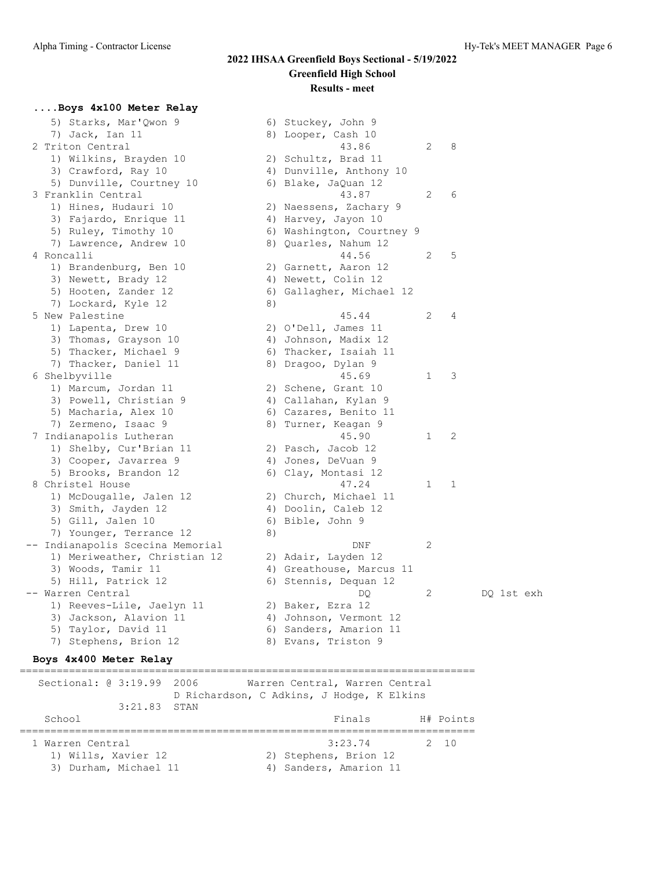### **....Boys 4x100 Meter Relay**

| 5) Starks, Mar'Qwon 9            |    | 6) Stuckey, John 9        |                |             |
|----------------------------------|----|---------------------------|----------------|-------------|
| 7) Jack, Ian 11                  |    | 8) Looper, Cash 10        |                |             |
| 2 Triton Central                 |    | 43.86                     | 2              | 8           |
| 1) Wilkins, Brayden 10           |    | 2) Schultz, Brad 11       |                |             |
| 3) Crawford, Ray 10              |    | 4) Dunville, Anthony 10   |                |             |
| 5) Dunville, Courtney 10         |    | 6) Blake, JaQuan 12       |                |             |
| 3 Franklin Central               |    | 43.87                     | $\mathfrak{L}$ | 6           |
| 1) Hines, Hudauri 10             |    | 2) Naessens, Zachary 9    |                |             |
| 3) Fajardo, Enrique 11           |    | 4) Harvey, Jayon 10       |                |             |
| 5) Ruley, Timothy 10             |    | 6) Washington, Courtney 9 |                |             |
| 7) Lawrence, Andrew 10           |    | 8) Quarles, Nahum 12      |                |             |
| 4 Roncalli                       |    | 44.56                     | 2              | 5           |
| 1) Brandenburg, Ben 10           |    | 2) Garnett, Aaron 12      |                |             |
| 3) Newett, Brady 12              |    | 4) Newett, Colin 12       |                |             |
| 5) Hooten, Zander 12             |    | 6) Gallagher, Michael 12  |                |             |
| 7) Lockard, Kyle 12              | 8) |                           |                |             |
| 5 New Palestine                  |    | 45.44                     | 2              | 4           |
| 1) Lapenta, Drew 10              |    | 2) O'Dell, James 11       |                |             |
| 3) Thomas, Grayson 10            |    | 4) Johnson, Madix 12      |                |             |
| 5) Thacker, Michael 9            |    | 6) Thacker, Isaiah 11     |                |             |
| 7) Thacker, Daniel 11            |    | 8) Dragoo, Dylan 9        |                |             |
| 6 Shelbyville                    |    | 45.69                     | $\mathbf{1}$   | 3           |
| 1) Marcum, Jordan 11             |    | 2) Schene, Grant 10       |                |             |
| 3) Powell, Christian 9           |    | 4) Callahan, Kylan 9      |                |             |
| 5) Macharia, Alex 10             |    | 6) Cazares, Benito 11     |                |             |
| 7) Zermeno, Isaac 9              |    | 8) Turner, Keagan 9       |                |             |
| 7 Indianapolis Lutheran          |    | 45.90                     | 1              | 2           |
| 1) Shelby, Cur'Brian 11          |    | 2) Pasch, Jacob 12        |                |             |
| 3) Cooper, Javarrea 9            |    | 4) Jones, DeVuan 9        |                |             |
| 5) Brooks, Brandon 12            |    | 6) Clay, Montasi 12       |                |             |
| 8 Christel House                 |    | 47.24                     | $\mathbf{1}$   | $\mathbf 1$ |
| 1) McDougalle, Jalen 12          |    | 2) Church, Michael 11     |                |             |
| 3) Smith, Jayden 12              |    | 4) Doolin, Caleb 12       |                |             |
| 5) Gill, Jalen 10                |    | 6) Bible, John 9          |                |             |
| 7) Younger, Terrance 12          | 8) |                           |                |             |
| -- Indianapolis Scecina Memorial |    | DNF                       | 2              |             |
| 1) Meriweather, Christian 12     |    | 2) Adair, Layden 12       |                |             |
| 3) Woods, Tamir 11               |    | 4) Greathouse, Marcus 11  |                |             |
| 5) Hill, Patrick 12              |    | 6) Stennis, Dequan 12     |                |             |
| -- Warren Central                |    | DO                        | 2              |             |
| 1) Reeves-Lile, Jaelyn 11        |    | 2) Baker, Ezra 12         |                |             |
| 3) Jackson, Alavion 11           |    | 4) Johnson, Vermont 12    |                |             |
| 5) Taylor, David 11              |    | 6) Sanders, Amarion 11    |                |             |
| 7) Stephens, Brion 12            |    | 8) Evans, Triston 9       |                |             |

#### **Boys 4x400 Meter Relay**

========================================================================== Sectional: @ 3:19.99 2006 Warren Central, Warren Central D Richardson, C Adkins, J Hodge, K Elkins 3:21.83 STAN Finals H# Points ========================================================================== 1 Warren Central 3:23.74 2 10 1) Wills, Xavier 12 2) Stephens, Brion 12 3) Durham, Michael 11 4) Sanders, Amarion 11

| 5) Starks, Mar'Qwon 9            |    | 6) Stuckey, John 9        |              |                |            |
|----------------------------------|----|---------------------------|--------------|----------------|------------|
| 7) Jack, Ian 11                  |    | 8) Looper, Cash 10        |              |                |            |
| 2 Triton Central                 |    | 43.86                     | 2            | 8              |            |
| 1) Wilkins, Brayden 10           |    | 2) Schultz, Brad 11       |              |                |            |
| 3) Crawford, Ray 10              |    | 4) Dunville, Anthony 10   |              |                |            |
| 5) Dunville, Courtney 10         |    | 6) Blake, JaQuan 12       |              |                |            |
| 3 Franklin Central               |    | 43.87                     | 2            | 6              |            |
| 1) Hines, Hudauri 10             |    | 2) Naessens, Zachary 9    |              |                |            |
| 3) Fajardo, Enrique 11           |    | 4) Harvey, Jayon 10       |              |                |            |
| 5) Ruley, Timothy 10             |    | 6) Washington, Courtney 9 |              |                |            |
| 7) Lawrence, Andrew 10           |    | 8) Quarles, Nahum 12      |              |                |            |
| 4 Roncalli                       |    | 44.56                     | 2            | 5              |            |
| 1) Brandenburg, Ben 10           |    | 2) Garnett, Aaron 12      |              |                |            |
| 3) Newett, Brady 12              |    | 4) Newett, Colin 12       |              |                |            |
| 5) Hooten, Zander 12             |    | 6) Gallagher, Michael 12  |              |                |            |
| 7) Lockard, Kyle 12              | 8) |                           |              |                |            |
| 5 New Palestine                  |    | 45.44                     | 2            | 4              |            |
| 1) Lapenta, Drew 10              |    | 2) O'Dell, James 11       |              |                |            |
| 3) Thomas, Grayson 10            |    | 4) Johnson, Madix 12      |              |                |            |
| 5) Thacker, Michael 9            |    | 6) Thacker, Isaiah 11     |              |                |            |
| 7) Thacker, Daniel 11            |    | 8) Dragoo, Dylan 9        |              |                |            |
| 6 Shelbyville                    |    | 45.69                     | 1            | 3              |            |
| 1) Marcum, Jordan 11             |    | 2) Schene, Grant 10       |              |                |            |
| 3) Powell, Christian 9           |    | 4) Callahan, Kylan 9      |              |                |            |
| 5) Macharia, Alex 10             |    | 6) Cazares, Benito 11     |              |                |            |
| 7) Zermeno, Isaac 9              |    | 8) Turner, Keagan 9       |              |                |            |
| 7 Indianapolis Lutheran          |    | 45.90                     | $\mathbf{1}$ | 2              |            |
| 1) Shelby, Cur'Brian 11          |    | 2) Pasch, Jacob 12        |              |                |            |
| 3) Cooper, Javarrea 9            |    | 4) Jones, DeVuan 9        |              |                |            |
| 5) Brooks, Brandon 12            |    | 6) Clay, Montasi 12       |              |                |            |
| 8 Christel House                 |    | 47.24                     | 1            | $\overline{1}$ |            |
| 1) McDougalle, Jalen 12          |    | 2) Church, Michael 11     |              |                |            |
| 3) Smith, Jayden 12              |    | 4) Doolin, Caleb 12       |              |                |            |
| 5) Gill, Jalen 10                |    | 6) Bible, John 9          |              |                |            |
| 7) Younger, Terrance 12          | 8) |                           |              |                |            |
| -- Indianapolis Scecina Memorial |    | DNF                       | 2            |                |            |
| 1) Meriweather, Christian 12     |    | 2) Adair, Layden 12       |              |                |            |
| 3) Woods, Tamir 11               |    | 4) Greathouse, Marcus 11  |              |                |            |
| 5) Hill, Patrick 12              |    | 6) Stennis, Dequan 12     |              |                |            |
| -- Warren Central                |    | DQ.                       | 2            |                | DQ 1st exh |
| 1) Reeves-Lile, Jaelyn 11        |    | 2) Baker, Ezra 12         |              |                |            |
| 3) Jackson, Alavion 11           |    | 4) Johnson, Vermont 12    |              |                |            |
| 5) Taylor, David 11              |    | 6) Sanders, Amarion 11    |              |                |            |
| 7) Stephens, Brion 12            |    | 8) Evans, Triston 9       |              |                |            |
|                                  |    |                           |              |                |            |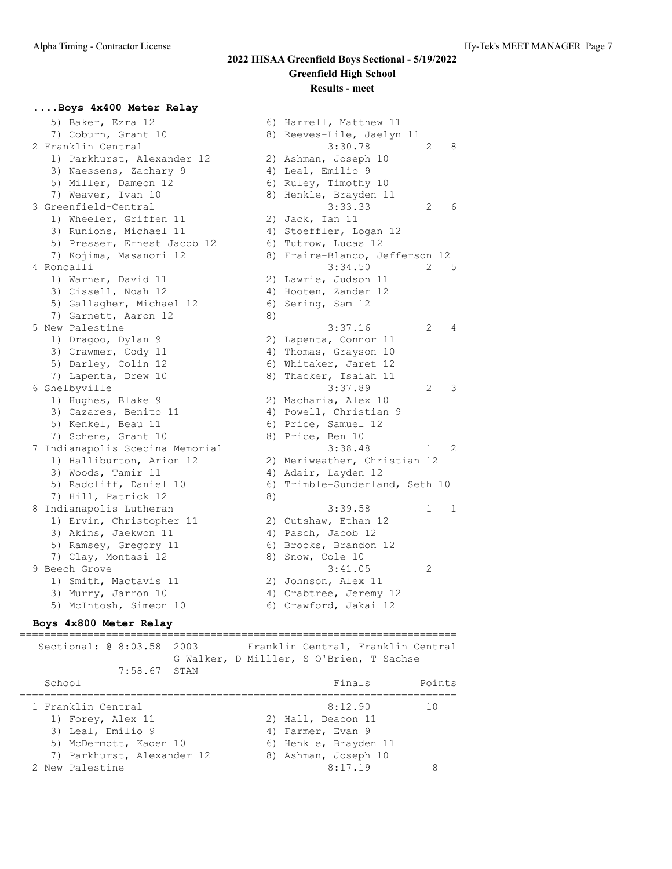#### **....Boys 4x400 Meter Relay**

5) Baker, Ezra 12 <sup>-</sup> 6) Harrell, Matthew 11<br>
7) Coburn, Grant 10 <sup>8</sup> 8) Reeves-Lile, Jaelyn 11<br>
2 Franklin Central 3:30.78 2 7) Coburn, Grant 10 8) Reeves-Lile, Jaelyn 11 2 Franklin Central 3:30.78 2 8 1) Parkhurst, Alexander 12 2) Ashman, Joseph 10 3) Naessens, Zachary 9 (4) Leal, Emilio 9 5) Miller, Dameon 12 6) Ruley, Timothy 10 7) Weaver, Ivan 10 8) Henkle, Brayden 11 3 Greenfield-Central 3:33.33 2 6 1) Wheeler, Griffen 11 2) Jack, Ian 11 3) Runions, Michael 11 4) Stoeffler, Logan 12 5) Presser, Ernest Jacob 12 (6) Tutrow, Lucas 12 7) Kojima, Masanori 12 8) Fraire-Blanco, Jefferson 12 4 Roncalli 3:34.50 2 5 1) Warner, David 11 2) Lawrie, Judson 11 3) Cissell, Noah 12 4) Hooten, Zander 12 5) Gallagher, Michael 12 (6) Sering, Sam 12 7) Garnett, Aaron 12 (8) 5 New Palestine 3:37.16 2 4 1) Dragoo, Dylan 9 2) Lapenta, Connor 11 3) Crawmer, Cody 11 4) Thomas, Grayson 10 5) Darley, Colin 12 6) Whitaker, Jaret 12 7) Lapenta, Drew 10 8) Thacker, Isaiah 11 6 Shelbyville 3:37.89 2 3 1) Hughes, Blake 9 2) Macharia, Alex 10 3) Cazares, Benito 11 4) Powell, Christian 9 5) Kenkel, Beau 11 6) Price, Samuel 12 7) Schene, Grant 10 8) Price, Ben 10 7 Indianapolis Scecina Memorial 3:38.48 1 2 1) Halliburton, Arion 12 2) Meriweather, Christian 12 3) Woods, Tamir 11 (4) Adair, Layden 12 5) Radcliff, Daniel 10 6) Trimble-Sunderland, Seth 10 7) Hill, Patrick 12 (8) 8 Indianapolis Lutheran 3:39.58 1 1 1) Ervin, Christopher 11 2) Cutshaw, Ethan 12 3) Akins, Jaekwon 11 (4) Pasch, Jacob 12 5) Ramsey, Gregory 11 6) Brooks, Brandon 12 7) Clay, Montasi 12 8) Snow, Cole 10 9 Beech Grove 2 2 2 2 2 2 3:41.05 1) Smith, Mactavis 11 2) Johnson, Alex 11 3) Murry, Jarron 10 4) Crabtree, Jeremy 12 5) McIntosh, Simeon 10 6) Crawford, Jakai 12

#### **Boys 4x800 Meter Relay**

======================================================================= Sectional: @ 8:03.58 2003 Franklin Central, Franklin Central G Walker, D Milller, S O'Brien, T Sachse 7:58.67 STAN School **Finals** Points Points Points Points Points Points Points Points Points Points Points Points Points Points Points Points Points Points Points Points Points Points Points Points Points Points Points Points Points Poi ======================================================================= 1 Franklin Central 8:12.90 10 1) Forey, Alex 11 2) Hall, Deacon 11 3) Leal, Emilio 9 4) Farmer, Evan 9 5) McDermott, Kaden 10 6) Henkle, Brayden 11 7) Parkhurst, Alexander 12 and 8) Ashman, Joseph 10 2 New Palestine 8:17.19 8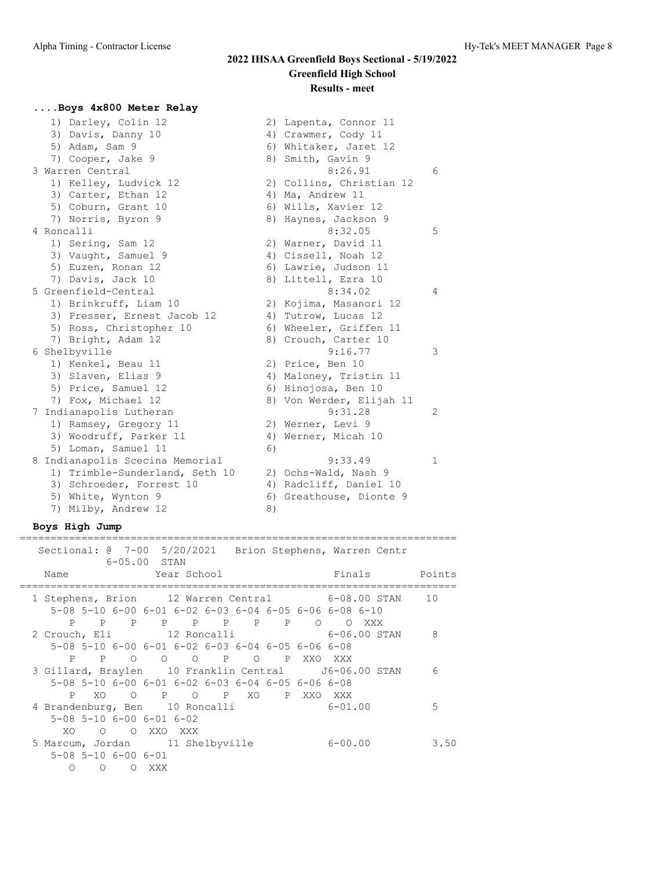### **....Boys 4x800 Meter Relay**

| 1) Darley, Colin 12                | 2) Lapenta, Connor 11      |
|------------------------------------|----------------------------|
| 3) Davis, Danny 10                 | 4) Crawmer, Cody 11        |
| 5) Adam, Sam 9                     | 6) Whitaker, Jaret 12      |
| 7) Cooper, Jake 9                  | 8) Smith, Gavin 9          |
| 3 Warren Central                   | 8:26.91<br>6               |
| 1) Kelley, Ludvick 12              | 2) Collins, Christian 12   |
| 3) Carter, Ethan 12                | 4) Ma, Andrew 11           |
| 5) Coburn, Grant 10                | 6) Wills, Xavier 12        |
| 7) Norris, Byron 9                 | 8) Haynes, Jackson 9       |
| 4 Roncalli                         | 8:32.05<br>5               |
| 1) Sering, Sam 12                  | 2) Warner, David 11        |
| 3) Vaught, Samuel 9                | 4) Cissell, Noah 12        |
| 5) Euzen, Ronan 12                 | 6) Lawrie, Judson 11       |
| 7) Davis, Jack 10                  | 8) Littell, Ezra 10        |
| 5 Greenfield-Central               | 8:34.02<br>4               |
| 1) Brinkruff, Liam 10              | 2) Kojima, Masanori 12     |
| 3) Presser, Ernest Jacob 12        | 4) Tutrow, Lucas 12        |
| 5) Ross, Christopher 10            | 6) Wheeler, Griffen 11     |
| 7) Bright, Adam 12                 | 8) Crouch, Carter 10       |
| 6 Shelbyville                      | 9:16.77<br>3               |
| 1) Kenkel, Beau 11                 | 2) Price, Ben 10           |
| 3) Slaven, Elias 9                 | 4) Maloney, Tristin 11     |
| 5) Price, Samuel 12                | 6) Hinojosa, Ben 10        |
| 7) Fox, Michael 12                 | 8) Von Werder, Elijah 11   |
| 7 Indianapolis Lutheran            | 9:31.28<br>2               |
| 1) Ramsey, Gregory 11              | 2) Werner, Levi 9          |
| 3) Woodruff, Parker 11             | Werner, Micah 10<br>4)     |
| 5) Loman, Samuel 11                | 6)                         |
| Indianapolis Scecina Memorial<br>8 | 9:33.49<br>1               |
| 1) Trimble-Sunderland, Seth 10     | 2) Ochs-Wald, Nash 9       |
| 3) Schroeder, Forrest 10           | 4) Radcliff, Daniel 10     |
| 5) White, Wynton 9                 | Greathouse, Dionte 9<br>6) |
| 7) Milby, Andrew 12                | 8)                         |

### **Boys High Jump**

| Sectional: 0 7-00 5/20/2021 Brion Stephens, Warren Centr                                                                         |                     | $6 - 05.00$ STAN        |  |  |           |             |               |
|----------------------------------------------------------------------------------------------------------------------------------|---------------------|-------------------------|--|--|-----------|-------------|---------------|
| Name                                                                                                                             |                     | External Year School    |  |  |           |             | Finals Points |
| 1 Stephens, Brion 12 Warren Central 6-08.00 STAN<br>$5-08$ $5-10$ $6-00$ $6-01$ $6-02$ $6-03$ $6-04$ $6-05$ $6-06$ $6-08$ $6-10$ |                     |                         |  |  |           |             | 10            |
|                                                                                                                                  |                     | P P P P P P P P P       |  |  |           | O O XXX     |               |
| 5-08 5-10 6-00 6-01 6-02 6-03 6-04 6-05 6-06 6-08                                                                                |                     |                         |  |  |           |             | - 8           |
|                                                                                                                                  |                     | P P O O O P O P XXO XXX |  |  |           |             |               |
| 3 Gillard, Braylen 10 Franklin Central 56-06.00 STAN                                                                             |                     |                         |  |  |           |             | 6             |
| 5-08 5-10 6-00 6-01 6-02 6-03 6-04 6-05 6-06 6-08                                                                                |                     |                         |  |  |           |             |               |
| XO.<br>P                                                                                                                         |                     | O P O P XO              |  |  | P XXO XXX |             |               |
| 4 Brandenburg, Ben 10 Roncalli                                                                                                   |                     |                         |  |  |           | $6 - 01.00$ | 5             |
| $5-08$ $5-10$ $6-00$ $6-01$ $6-02$                                                                                               |                     |                         |  |  |           |             |               |
| XO.                                                                                                                              |                     | OOXXOXXX                |  |  |           |             |               |
| 5 Marcum, Jordan 11 Shelbyville<br>$5 - 08$ $5 - 10$ $6 - 00$ $6 - 01$                                                           |                     |                         |  |  |           | $6 - 00.00$ | 3.50          |
| $\Omega$                                                                                                                         | $\circ$<br>$\Omega$ | XXX X                   |  |  |           |             |               |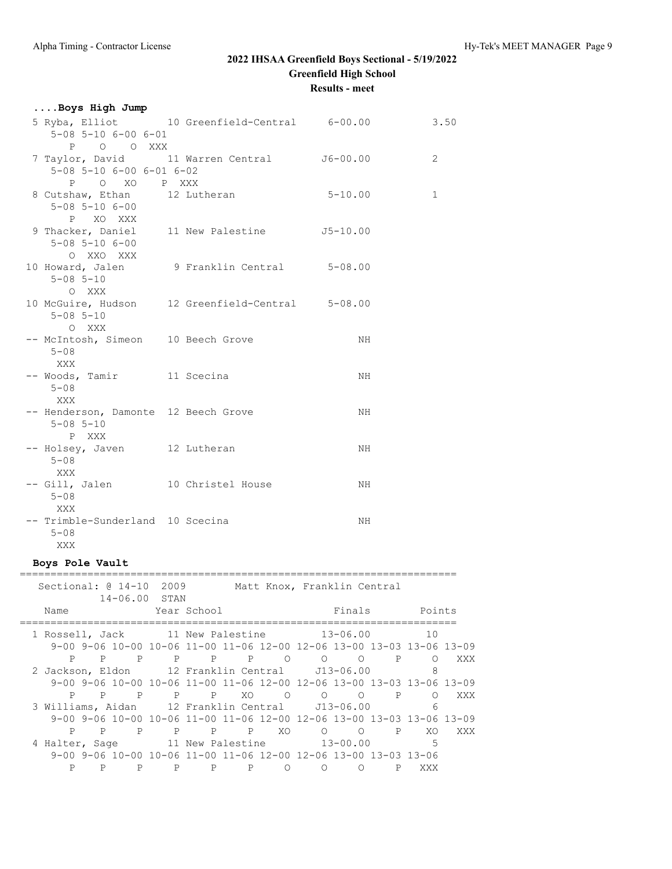| Boys High Jump                                                                         |  |             |                |
|----------------------------------------------------------------------------------------|--|-------------|----------------|
| 5 Ryba, Elliot 10 Greenfield-Central 6-00.00<br>$5 - 08$ $5 - 10$ $6 - 00$ $6 - 01$    |  |             | 3.50           |
| P O O XXX<br>7 Taylor, David 11 Warren Central 56-00.00                                |  |             | $\overline{2}$ |
| $5-08$ $5-10$ $6-00$ $6-01$ $6-02$<br>P O XO P XXX                                     |  |             |                |
| 8 Cutshaw, Ethan 12 Lutheran<br>$5 - 08$ $5 - 10$ $6 - 00$<br>P XO XXX                 |  | $5 - 10.00$ | $\mathbf 1$    |
| 9 Thacker, Daniel 11 New Palestine 55-10.00<br>$5 - 08$ $5 - 10$ $6 - 00$<br>O XXO XXX |  |             |                |
| 10 Howard, Jalen 9 Franklin Central 5-08.00<br>$5 - 08$ $5 - 10$<br>O XXX              |  |             |                |
| 10 McGuire, Hudson 12 Greenfield-Central 5-08.00<br>$5 - 08$ $5 - 10$<br>O XXX         |  |             |                |
| -- McIntosh, Simeon 10 Beech Grove<br>$5 - 08$<br>XXX                                  |  | NH.         |                |
| -- Woods, Tamir 11 Scecina<br>$5 - 08$<br>XXX X                                        |  | NH.         |                |
| -- Henderson, Damonte 12 Beech Grove<br>$5 - 08$ $5 - 10$<br>P XXX                     |  | NH.         |                |
| -- Holsey, Javen 12 Lutheran<br>$5 - 08$<br>XXX                                        |  | NH.         |                |
| -- Gill, Jalen 10 Christel House<br>$5 - 08$<br>XXX X                                  |  | NH          |                |
| -- Trimble-Sunderland 10 Scecina<br>$5 - 08$<br>XXX                                    |  | NH          |                |
|                                                                                        |  |             |                |

### **Boys Pole Vault**

| Sectional: @ 14-10 2009                         |   | $14 - 06.00$ STAN |              |                                                                                               |              |          |                | Matt Knox, Franklin Central         |              |            |     |  |
|-------------------------------------------------|---|-------------------|--------------|-----------------------------------------------------------------------------------------------|--------------|----------|----------------|-------------------------------------|--------------|------------|-----|--|
| Name                                            |   |                   |              | Year School                                                                                   |              |          |                | Finals Points                       |              |            |     |  |
| 1 Rossell, Jack 11 New Palestine 13-06.00       |   |                   |              |                                                                                               |              |          |                |                                     |              |            | 10  |  |
|                                                 |   |                   |              | $9-00$ $9-06$ $10-00$ $10-06$ $11-00$ $11-06$ $12-00$ $12-06$ $13-00$ $13-03$ $13-06$ $13-09$ |              |          |                |                                     |              |            |     |  |
| P                                               |   | $P \qquad \qquad$ |              | P P P                                                                                         | P            | $\Omega$ | $\overline{O}$ | $\Omega$                            | P            | $\bigcirc$ | XXX |  |
| 2 Jackson, Eldon 12 Franklin Central J13-06.00  |   |                   |              |                                                                                               |              |          |                |                                     |              | 8          |     |  |
|                                                 |   |                   |              | 9-00 9-06 10-00 10-06 11-00 11-06 12-00 12-06 13-00 13-03 13-06 13-09                         |              |          |                |                                     |              |            |     |  |
| P                                               |   |                   |              | P P P P                                                                                       |              | XO O     |                | $\begin{matrix} 0 & 0 \end{matrix}$ | $\mathbb{P}$ | $\bigcirc$ | XXX |  |
| 3 Williams, Aidan 12 Franklin Central J13-06.00 |   |                   |              |                                                                                               |              |          |                |                                     |              | 6          |     |  |
|                                                 |   |                   |              | 9-00 9-06 10-00 10-06 11-00 11-06 12-00 12-06 13-00 13-03 13-06 13-09                         |              |          |                |                                     |              |            |     |  |
|                                                 |   |                   |              | P P P P P P                                                                                   |              |          |                | XO O O P                            |              | XO.        | XXX |  |
| 4 Halter, Sage 11 New Palestine 13-00.00        |   |                   |              |                                                                                               |              |          |                |                                     |              | 5          |     |  |
|                                                 |   |                   |              | 9-00 9-06 10-00 10-06 11-00 11-06 12-00 12-06 13-00 13-03 13-06                               |              |          |                |                                     |              |            |     |  |
| P                                               | P | P                 | $\mathbf{P}$ | P                                                                                             | $\mathbf{P}$ | $\circ$  | $\Omega$       | $\Omega$                            | P            | XXX        |     |  |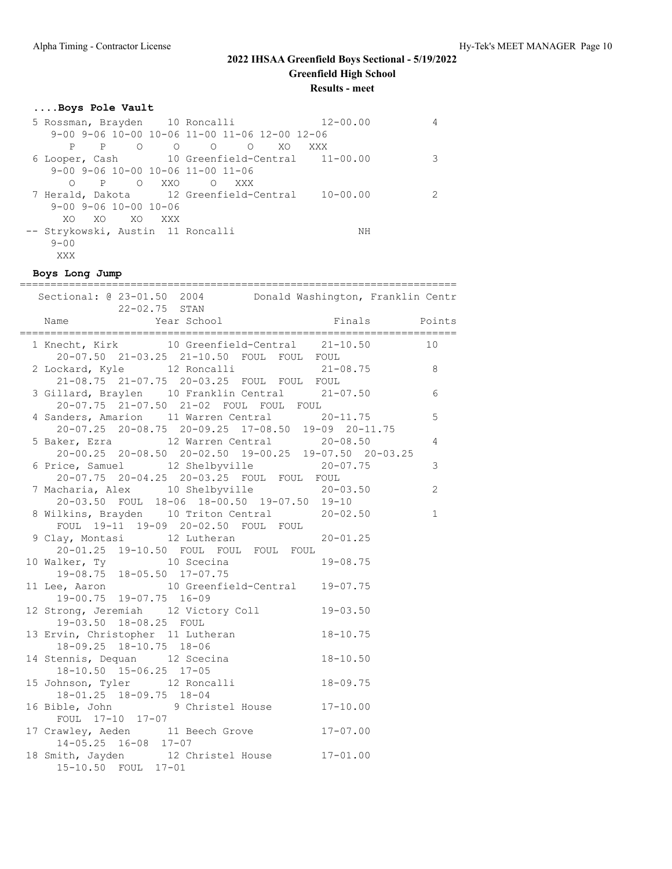### **....Boys Pole Vault**

| 5 Rossman, Brayden 10 Roncalli                  |     |          |          |          |          |    |     | $12 - 00.00$ |  |
|-------------------------------------------------|-----|----------|----------|----------|----------|----|-----|--------------|--|
| 9-00 9-06 10-00 10-06 11-00 11-06 12-00 12-06   |     |          |          |          |          |    |     |              |  |
| P                                               | P   | $\Omega$ | $\Omega$ | $\circ$  | $\Omega$ | XO | XXX |              |  |
| 6 Looper, Cash 10 Greenfield-Central 11-00.00   |     |          |          |          |          |    |     |              |  |
| $9-00$ $9-06$ $10-00$ $10-06$ $11-00$ $11-06$   |     |          |          |          |          |    |     |              |  |
| O                                               | P   |          | O XXO    | $\Omega$ | XXX      |    |     |              |  |
| 7 Herald, Dakota 12 Greenfield-Central 10-00.00 |     |          |          |          |          |    |     |              |  |
| $9 - 00$ $9 - 06$ $10 - 00$ $10 - 06$           |     |          |          |          |          |    |     |              |  |
| XO.                                             | XO. | XO.      | XXX X    |          |          |    |     |              |  |
| -- Strykowski, Austin 11 Roncalli               |     |          |          |          |          |    |     | ΝH           |  |
| $9 - 00$                                        |     |          |          |          |          |    |     |              |  |
| XXX                                             |     |          |          |          |          |    |     |              |  |

### **Boys Long Jump**

|                                                                                                                      | =========     |             |  |              |               |                |
|----------------------------------------------------------------------------------------------------------------------|---------------|-------------|--|--------------|---------------|----------------|
| Sectional: @ 23-01.50 2004 Donald Washington, Franklin Centr                                                         | 22-02.75 STAN |             |  |              |               |                |
| Name                                                                                                                 |               | Year School |  |              | Finals Points |                |
| 1 Knecht, Kirk 10 Greenfield-Central 21-10.50 10<br>20-07.50 21-03.25 21-10.50 FOUL FOUL FOUL                        |               |             |  |              |               |                |
| 2 Lockard, Kyle 12 Roncalli 12 21-08.75<br>21-08.75 21-07.75 20-03.25 FOUL FOUL FOUL                                 |               |             |  |              |               |                |
| 3 Gillard, Braylen 10 Franklin Central 21-07.50 6<br>20-07.75 21-07.50 21-02 FOUL FOUL FOUL                          |               |             |  |              |               |                |
| 4 Sanders, Amarion 11 Warren Central 20-11.75<br>20-07.25 20-08.75 20-09.25 17-08.50 19-09 20-11.75                  |               |             |  |              |               | 5              |
| 5 Baker, Ezra 12 Warren Central 20-08.50<br>20-00.25 20-08.50 20-02.50 19-00.25 19-07.50 20-03.25                    |               |             |  |              |               | $\overline{4}$ |
| 6 Price, Samuel 12 Shelbyville 20-07.75<br>20-07.75 20-04.25 20-03.25 FOUL FOUL FOUL                                 |               |             |  |              |               | $\mathsf 3$    |
| 7 Macharia, Alex 10 Shelbyville 20-03.50<br>20-03.50 FOUL 18-06 18-00.50 19-07.50 19-10                              |               |             |  |              |               | $\overline{c}$ |
| 8 Wilkins, Brayden 10 Triton Central 20-02.50                                                                        |               |             |  |              |               | $\mathbf{1}$   |
| FOUL 19-11 19-09 20-02.50 FOUL FOUL<br>9 Clay, Montasi 12 Lutheran 20-01.25<br>20-01.25 19-10.50 FOUL FOUL FOUL FOUL |               |             |  |              |               |                |
| 10 Walker, Ty 10 Scecina 19-08.75<br>19-08.75 18-05.50 17-07.75                                                      |               |             |  |              |               |                |
| 11 Lee, Aaron 10 Greenfield-Central 19-07.75<br>19-00.75 19-07.75 16-09                                              |               |             |  |              |               |                |
| 12 Strong, Jeremiah 12 Victory Coll<br>19-03.50 18-08.25 FOUL                                                        |               |             |  | $19 - 03.50$ |               |                |
| 13 Ervin, Christopher 11 Lutheran 18-10.75<br>18-09.25 18-10.75 18-06                                                |               |             |  |              |               |                |
| 18-09.25 18-10.75 18-06<br>14 Stennis, Dequan 12 Scecina 18-10.50<br>18-10.50 15-06.25 17-05                         |               |             |  |              |               |                |
| 18-10.50 15-06.25 17-05<br>15 Johnson, Tyler 12 Roncalli 18-09.75<br>18-01.25 18-09.75 18-04                         |               |             |  |              |               |                |
| 16 Bible, John 9 Christel House 17-10.00<br>FOUL 17-10 17-07                                                         |               |             |  |              |               |                |
| 17 Crawley, Aeden 11 Beech Grove 17-07.00<br>$14-05.25$ $16-08$ $17-07$                                              |               |             |  |              |               |                |
| 18 Smith, Jayden 12 Christel House 17-01.00<br>15-10.50 FOUL 17-01                                                   |               |             |  |              |               |                |
|                                                                                                                      |               |             |  |              |               |                |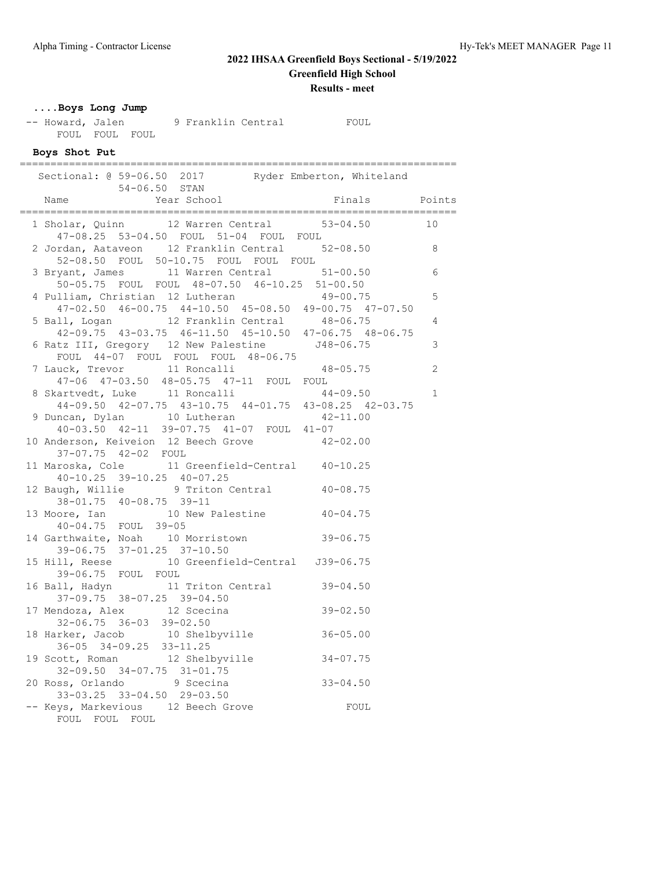**Results - meet**

### **....Boys Long Jump**

-- Howard, Jalen 9 Franklin Central 600 FOUL FOUL FOUL FOUL

### **Boys Shot Put**

| Sectional: @ 59-06.50 2017 Ryder Emberton, Whiteland<br>54-06.50 STAN                               |              |               |                |
|-----------------------------------------------------------------------------------------------------|--------------|---------------|----------------|
| MATC ULLOCATES<br>Year School<br>Name                                                               |              | Finals Points |                |
| 1 Sholar, Quinn 12 Warren Central 53-04.50<br>47-08.25 53-04.50 FOUL 51-04 FOUL FOUL                |              |               | 10             |
| 2 Jordan, Aataveon 12 Franklin Central 52-08.50<br>52-08.50 FOUL 50-10.75 FOUL FOUL FOUL            |              |               |                |
| 3 Bryant, James 11 Warren Central 51-00.50<br>50-05.75 FOUL FOUL 48-07.50 46-10.25 51-00.50         |              |               | 6              |
| 4 Pulliam, Christian 12 Lutheran 49-00.75<br>47-02.50 46-00.75 44-10.50 45-08.50 49-00.75 47-07.50  |              |               | 5              |
| 5 Ball, Logan 12 Franklin Central 48-06.75<br>42-09.75 43-03.75 46-11.50 45-10.50 47-06.75 48-06.75 |              |               | $\overline{4}$ |
| 6 Ratz III, Gregory 12 New Palestine 548-06.75<br>FOUL 44-07 FOUL FOUL FOUL 48-06.75                |              |               | 3              |
| 7 Lauck, Trevor 11 Roncalli<br>47-06 47-03.50 48-05.75 47-11 FOUL FOUL                              |              | $48 - 05.75$  | 2              |
| 8 Skartvedt, Luke 11 Roncalli<br>44-09.50 42-07.75 43-10.75 44-01.75 43-08.25 42-03.75              | 44-09.50     |               | $\mathbf{1}$   |
| 9 Duncan, Dylan 10 Lutheran 42-11.00<br>40-03.50 42-11 39-07.75 41-07 FOUL 41-07                    |              |               |                |
| 10 Anderson, Keiveion 12 Beech Grove 42-02.00<br>37-07.75 42-02 FOUL                                |              |               |                |
| 11 Maroska, Cole 11 Greenfield-Central 40-10.25<br>40-10.25 39-10.25 40-07.25                       |              |               |                |
| 12 Baugh, Willie 9 Triton Central 40-08.75<br>$38 - 01.75$ $40 - 08.75$ $39 - 11$                   |              |               |                |
| 10 New Palestine 40-04.75<br>13 Moore, Ian<br>40-04.75 FOUL 39-05                                   |              |               |                |
| 14 Garthwaite, Noah 10 Morristown 39-06.75<br>39-06.75 37-01.25 37-10.50                            |              |               |                |
| 15 Hill, Reese 10 Greenfield-Central J39-06.75<br>39-06.75 FOUL FOUL                                |              |               |                |
| 16 Ball, Hadyn 11 Triton Central 39-04.50<br>37-09.75 38-07.25 39-04.50                             |              |               |                |
| 17 Mendoza, Alex 12 Scecina<br>32-06.75 36-03 39-02.50                                              | $39 - 02.50$ |               |                |
| 18 Harker, Jacob 10 Shelbyville 36-05.00<br>36-05 34-09.25 33-11.25                                 |              |               |                |
| 19 Scott, Roman 12 Shelbyville<br>$32-09.50$ $34-07.75$ $31-01.75$                                  | $34 - 07.75$ |               |                |
| $33 - 04.50$<br>20 Ross, Orlando 9 Scecina<br>33-03.25 33-04.50 29-03.50                            |              |               |                |
| -- Keys, Markevious 12 Beech Grove<br>FOUL FOUL FOUL                                                |              | FOUL          |                |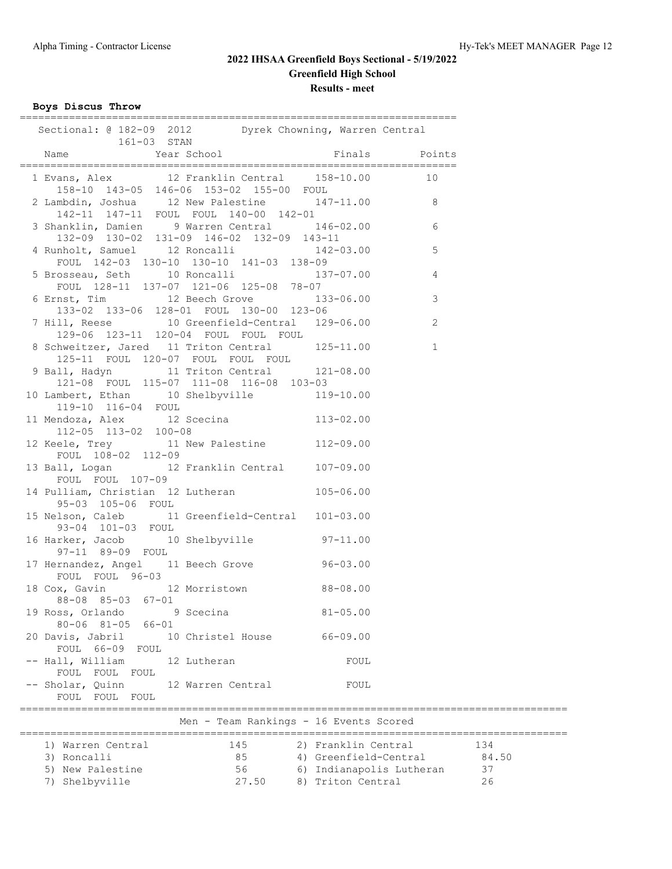**Boys Discus Throw**

| Sectional: @ 182-09 2012 Dyrek Chowning, Warren Central                                                                           |                   |              |  |
|-----------------------------------------------------------------------------------------------------------------------------------|-------------------|--------------|--|
| 161-03 STAN                                                                                                                       |                   |              |  |
|                                                                                                                                   |                   |              |  |
|                                                                                                                                   |                   |              |  |
| 142-11 147-11 FOUL FOUL 140-00 142-01                                                                                             |                   |              |  |
| 3 Shanklin, Damien 9 Warren Central 146-02.00 6<br>132-09 130-02 131-09 146-02 132-09 143-11                                      |                   |              |  |
| 4 Runholt, Samuel 12 Roncalli 142-03.00 5<br>FOUL 142-03 130-10 130-10 141-03 138-09                                              |                   |              |  |
| 5 Brosseau, Seth 10 Roncalli 137-07.00 4<br>FOUL 128-11 137-07 121-06 125-08 78-07                                                |                   |              |  |
| 6 Ernst, Tim 12 Beech Grove 133-06.00 3<br>133-02 133-06 128-01 FOUL 130-00 123-06                                                |                   |              |  |
| 133-02 133-06 128-01 FOUL 130-00 123-06<br>7 Hill, Reese 10 Greenfield-Central 129-06.00 2<br>129-06 123-11 120-04 FOUL FOUL FOUL |                   |              |  |
| 8 Schweitzer, Jared 11 Triton Central 125-11.00 1<br>125-11 FOUL 120-07 FOUL FOUL FOUL                                            |                   |              |  |
| 9 Ball, Hadyn 11 Triton Central 121-08.00<br>121-08 FOUL 115-07 111-08 116-08 103-03                                              |                   |              |  |
| 10 Lambert, Ethan 10 Shelbyville 119-10.00<br>119-10 116-04 FOUL                                                                  |                   |              |  |
| 11 Mendoza, Alex 12 Scecina 113-02.00<br>$112-05$ $113-02$ $100-08$                                                               |                   |              |  |
| 12 Keele, Trey 11 New Palestine 112-09.00<br>FOUL 108-02 112-09                                                                   |                   |              |  |
| 13 Ball, Logan 12 Franklin Central 107-09.00<br>FOUL FOUL 107-09                                                                  |                   |              |  |
| 14 Pulliam, Christian 12 Lutheran 105-06.00<br>95-03 105-06 FOUL                                                                  |                   |              |  |
| 15 Nelson, Caleb 11 Greenfield-Central 101-03.00<br>93-04 101-03 FOUL                                                             |                   |              |  |
| 16 Harker, Jacob 10 Shelbyville 97-11.00<br>97-11 89-09 FOUL                                                                      |                   |              |  |
| 17 Hernandez, Angel 11 Beech Grove 96-03.00<br>FOUL FOUL 96-03                                                                    |                   |              |  |
| 18 Cox, Gavin 12 Morristown 88-08.00<br>88-08 85-03 67-01                                                                         |                   |              |  |
| 19 Ross, Orlando 9 Scecina<br>80-06 81-05 66-01                                                                                   |                   | $81 - 05.00$ |  |
| 20 Davis, Jabril<br>FOUL 66-09 FOUL                                                                                               | 10 Christel House | $66 - 09.00$ |  |
| -- Hall, William<br>FOUL FOUL FOUL                                                                                                | 12 Lutheran       | FOUL         |  |
| -- Sholar, Quinn<br>FOUL FOUL FOUL                                                                                                | 12 Warren Central | FOUL         |  |

========================================================================================= 1) Warren Central 145 2) Franklin Central 134 3) Roncalli 85 4) Greenfield-Central 84.50 5) New Palestine 56 6) Indianapolis Lutheran 37 7) Shelbyville 27.50 8) Triton Central 26